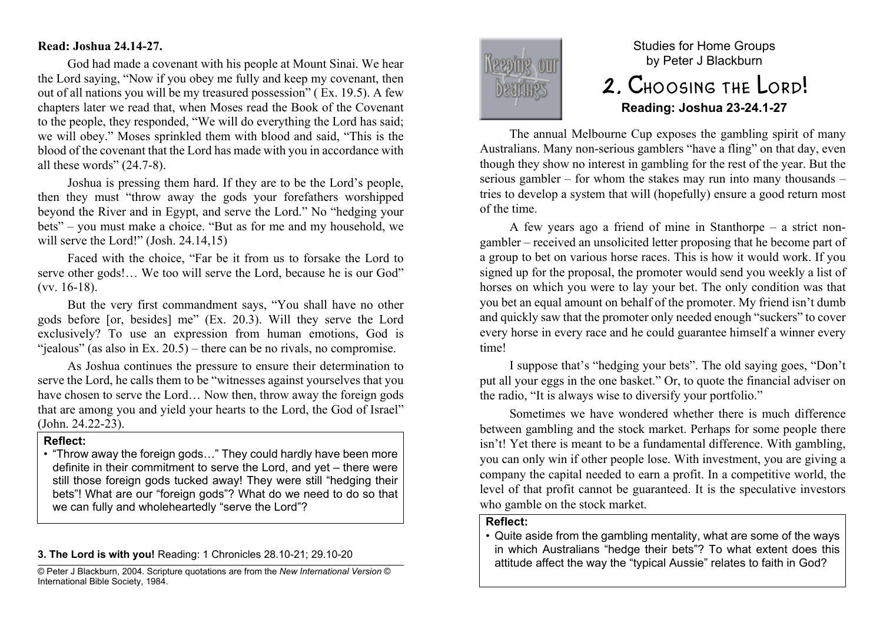#### **Read: Joshua 24.14-27.**

God had made a covenant with his people at Mount Sinai. We hear the Lord saying, "Now if you obey me fully and keep my covenant, then out of all nations you will be my treasured possession" ( Ex. 19.5). A few chapters later we read that, when Moses read the Book of the Covenant to the people, they responded, "We will do everything the Lord has said; we will obey." Moses sprinkled them with blood and said, "This is the blood of the covenant that the Lord has made with you in accordance with all these words" (24.7-8).

Joshua is pressing them hard. If they are to be the Lord's people, then they must "throw away the gods your forefathers worshipped beyond the River and in Egypt, and serve the Lord." No "hedging your bets" – you must make a choice. "But as for me and my household, we will serve the Lord!" (Josh. 24.14,15)

Faced with the choice, "Far be it from us to forsake the Lord to serve other gods!… We too will serve the Lord, because he is our God" (vv. 16-18).

But the very first commandment says, "You shall have no other gods before [or, besides] me" (Ex. 20.3). Will they serve the Lord exclusively? To use an expression from human emotions, God is " $i$ ealous" (as also in Ex. 20.5) – there can be no rivals, no compromise.

As Joshua continues the pressure to ensure their determination to serve the Lord, he calls them to be "witnesses against yourselves that you have chosen to serve the Lord... Now then, throw away the foreign gods that are among you and yield your hearts to the Lord, the God of Israel" (John. 24.22-23).

#### **Reflect:**

• "Throw away the foreign gods…" They could hardly have been more definite in their commitment to serve the Lord, and yet – there were still those foreign gods tucked away! They were still "hedging their bets"! What are our "foreign gods"? What do we need to do so that we can fully and wholeheartedly "serve the Lord"?

#### **3. The Lord is with you!** Reading: 1 Chronicles 28.10-21; 29.10-20

© Peter J Blackburn, 2004. Scripture quotations are from the *New International Version* © International Bible Society, 1984.



# Studies for Home Groups by Peter J Blackburn 2. Choosing the Lord!

## **Reading: Joshua 23-24.1-27**

The annual Melbourne Cup exposes the gambling spirit of many Australians. Many non-serious gamblers "have a fling" on that day, even though they show no interest in gambling for the rest of the year. But the serious gambler – for whom the stakes may run into many thousands – tries to develop a system that will (hopefully) ensure a good return most of the time.

A few years ago a friend of mine in Stanthorpe – a strict nongambler – received an unsolicited letter proposing that he become part of a group to bet on various horse races. This is how it would work. If you signed up for the proposal, the promoter would send you weekly a list of horses on which you were to lay your bet. The only condition was that you bet an equal amount on behalf of the promoter. My friend isn't dumb and quickly saw that the promoter only needed enough "suckers" to cover every horse in every race and he could guarantee himself a winner every time!

I suppose that's "hedging your bets". The old saying goes, "Don't put all your eggs in the one basket." Or, to quote the financial adviser on the radio, "It is always wise to diversify your portfolio."

Sometimes we have wondered whether there is much difference between gambling and the stock market. Perhaps for some people there isn't! Yet there is meant to be a fundamental difference. With gambling, you can only win if other people lose. With investment, you are giving a company the capital needed to earn a profit. In a competitive world, the level of that profit cannot be guaranteed. It is the speculative investors who gamble on the stock market.

## **Reflect:**

• Quite aside from the gambling mentality, what are some of the ways in which Australians "hedge their bets"? To what extent does this attitude affect the way the "typical Aussie" relates to faith in God?